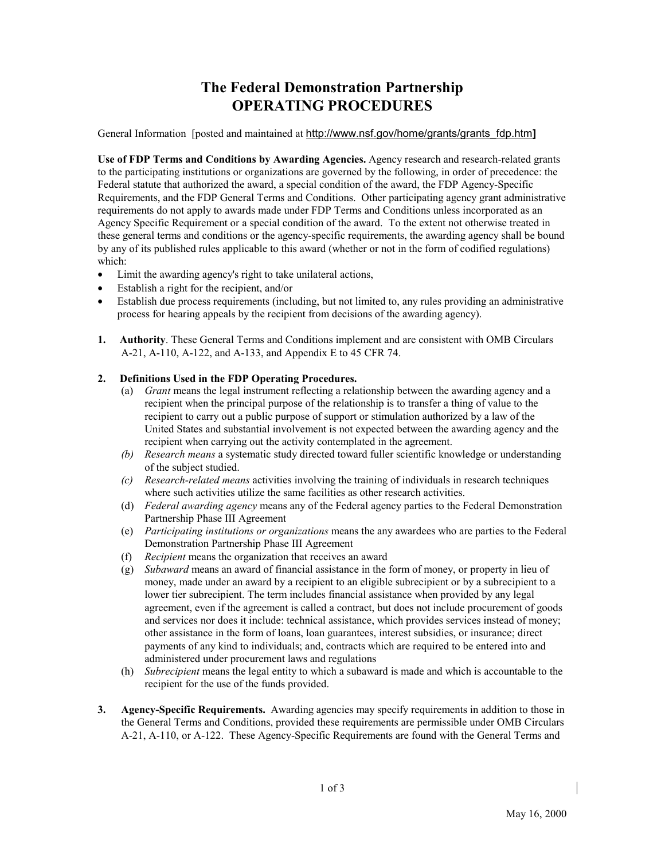## **The Federal Demonstration Partnership OPERATING PROCEDURES**

General Information [posted and maintained at http://www.nsf.gov/home/grants/grants\_fdp.htm**]**

**Use of FDP Terms and Conditions by Awarding Agencies.** Agency research and research-related grants to the participating institutions or organizations are governed by the following, in order of precedence: the Federal statute that authorized the award, a special condition of the award, the FDP Agency-Specific Requirements, and the FDP General Terms and Conditions. Other participating agency grant administrative requirements do not apply to awards made under FDP Terms and Conditions unless incorporated as an Agency Specific Requirement or a special condition of the award. To the extent not otherwise treated in these general terms and conditions or the agency-specific requirements, the awarding agency shall be bound by any of its published rules applicable to this award (whether or not in the form of codified regulations) which:

- Limit the awarding agency's right to take unilateral actions,
- Establish a right for the recipient, and/or
- Establish due process requirements (including, but not limited to, any rules providing an administrative process for hearing appeals by the recipient from decisions of the awarding agency).
- **1. Authority**. These General Terms and Conditions implement and are consistent with OMB Circulars A-21, A-110, A-122, and A-133, and Appendix E to 45 CFR 74.

## **2. Definitions Used in the FDP Operating Procedures.**

- (a) *Grant* means the legal instrument reflecting a relationship between the awarding agency and a recipient when the principal purpose of the relationship is to transfer a thing of value to the recipient to carry out a public purpose of support or stimulation authorized by a law of the United States and substantial involvement is not expected between the awarding agency and the recipient when carrying out the activity contemplated in the agreement.
- *(b) Research means* a systematic study directed toward fuller scientific knowledge or understanding of the subject studied.
- *(c) Research-related means* activities involving the training of individuals in research techniques where such activities utilize the same facilities as other research activities.
- (d) *Federal awarding agency* means any of the Federal agency parties to the Federal Demonstration Partnership Phase III Agreement
- (e) *Participating institutions or organizations* means the any awardees who are parties to the Federal Demonstration Partnership Phase III Agreement
- (f) *Recipient* means the organization that receives an award
- (g) *Subaward* means an award of financial assistance in the form of money, or property in lieu of money, made under an award by a recipient to an eligible subrecipient or by a subrecipient to a lower tier subrecipient. The term includes financial assistance when provided by any legal agreement, even if the agreement is called a contract, but does not include procurement of goods and services nor does it include: technical assistance, which provides services instead of money; other assistance in the form of loans, loan guarantees, interest subsidies, or insurance; direct payments of any kind to individuals; and, contracts which are required to be entered into and administered under procurement laws and regulations
- (h) *Subrecipient* means the legal entity to which a subaward is made and which is accountable to the recipient for the use of the funds provided.
- **3. Agency-Specific Requirements.** Awarding agencies may specify requirements in addition to those in the General Terms and Conditions, provided these requirements are permissible under OMB Circulars A-21, A-110, or A-122. These Agency-Specific Requirements are found with the General Terms and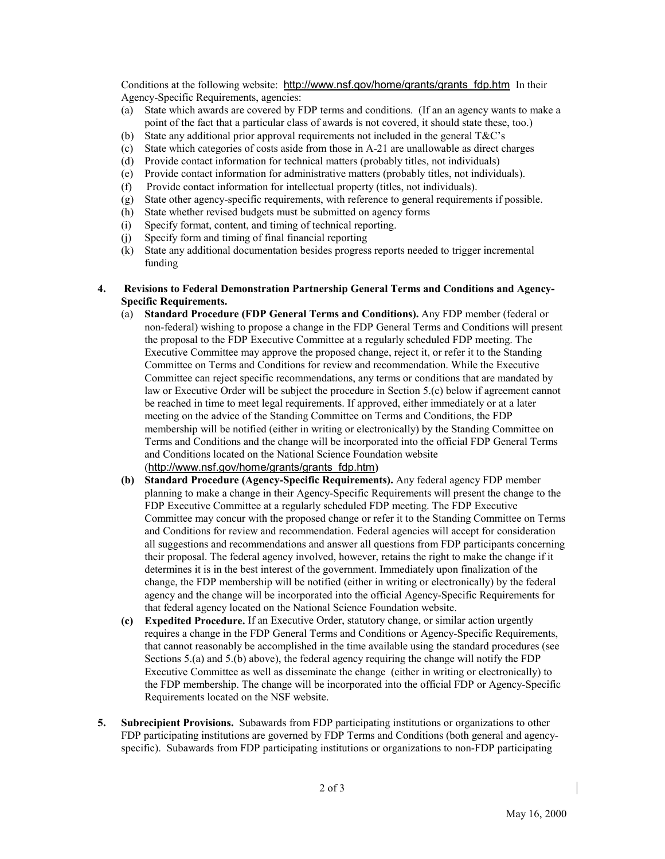Conditions at the following website: http://www.nsf.gov/home/grants/grants\_fdp.htmIn their Agency-Specific Requirements, agencies:

- (a) State which awards are covered by FDP terms and conditions. (If an an agency wants to make a point of the fact that a particular class of awards is not covered, it should state these, too.)
- (b) State any additional prior approval requirements not included in the general T&C's
- (c) State which categories of costs aside from those in A-21 are unallowable as direct charges
- (d) Provide contact information for technical matters (probably titles, not individuals)
- (e) Provide contact information for administrative matters (probably titles, not individuals).
- (f) Provide contact information for intellectual property (titles, not individuals).
- (g) State other agency-specific requirements, with reference to general requirements if possible.
- (h) State whether revised budgets must be submitted on agency forms
- (i) Specify format, content, and timing of technical reporting.
- (j) Specify form and timing of final financial reporting
- (k) State any additional documentation besides progress reports needed to trigger incremental funding
- **4. Revisions to Federal Demonstration Partnership General Terms and Conditions and Agency-Specific Requirements.**
	- (a) **Standard Procedure (FDP General Terms and Conditions).** Any FDP member (federal or non-federal) wishing to propose a change in the FDP General Terms and Conditions will present the proposal to the FDP Executive Committee at a regularly scheduled FDP meeting. The Executive Committee may approve the proposed change, reject it, or refer it to the Standing Committee on Terms and Conditions for review and recommendation. While the Executive Committee can reject specific recommendations, any terms or conditions that are mandated by law or Executive Order will be subject the procedure in Section 5.(c) below if agreement cannot be reached in time to meet legal requirements. If approved, either immediately or at a later meeting on the advice of the Standing Committee on Terms and Conditions, the FDP membership will be notified (either in writing or electronically) by the Standing Committee on Terms and Conditions and the change will be incorporated into the official FDP General Terms and Conditions located on the National Science Foundation website (http://www.nsf.gov/home/grants/grants\_fdp.htm**)**
	- **(b) Standard Procedure (Agency-Specific Requirements).** Any federal agency FDP member planning to make a change in their Agency-Specific Requirements will present the change to the FDP Executive Committee at a regularly scheduled FDP meeting. The FDP Executive Committee may concur with the proposed change or refer it to the Standing Committee on Terms and Conditions for review and recommendation. Federal agencies will accept for consideration all suggestions and recommendations and answer all questions from FDP participants concerning their proposal. The federal agency involved, however, retains the right to make the change if it determines it is in the best interest of the government. Immediately upon finalization of the change, the FDP membership will be notified (either in writing or electronically) by the federal agency and the change will be incorporated into the official Agency-Specific Requirements for that federal agency located on the National Science Foundation website.
	- **(c) Expedited Procedure.** If an Executive Order, statutory change, or similar action urgently requires a change in the FDP General Terms and Conditions or Agency-Specific Requirements, that cannot reasonably be accomplished in the time available using the standard procedures (see Sections 5.(a) and 5.(b) above), the federal agency requiring the change will notify the FDP Executive Committee as well as disseminate the change (either in writing or electronically) to the FDP membership. The change will be incorporated into the official FDP or Agency-Specific Requirements located on the NSF website.
- **5. Subrecipient Provisions.** Subawards from FDP participating institutions or organizations to other FDP participating institutions are governed by FDP Terms and Conditions (both general and agencyspecific). Subawards from FDP participating institutions or organizations to non-FDP participating